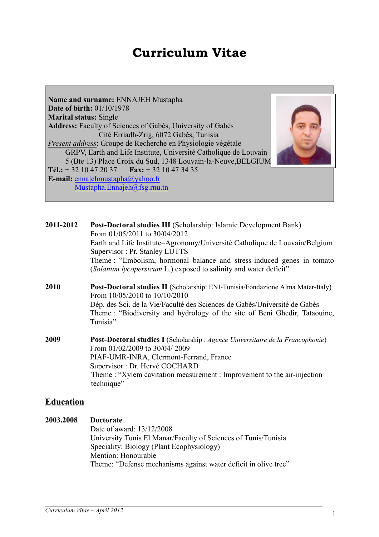# **Curriculum Vitae**

**Name and surname:** ENNAJEH Mustapha **Date of birth:** 01/10/1978 **Marital status:** Single **Address:** Faculty of Sciences of Gabès, University of Gabès Cité Erriadh-Zrig, 6072 Gabès, Tunisia *Present address*: Groupe de Recherche en Physiologie végétale GRPV, Earth and Life Institute, Université Catholique de Louvain 5 (Bte 13) Place Croix du Sud, 1348 Louvain-la-Neuve,BELGIUM **Tél.:** + 32 10 47 20 37 **Fax:** + 32 10 47 34 35 **E-mail:** ennajehmustapha@yahoo.fr Mustapha.Ennajeh@fsg.rnu.tn



| 2011-2012 | <b>Post-Doctoral studies III</b> (Scholarship: Islamic Development Bank)<br>From 01/05/2011 to 30/04/2012                   |
|-----------|-----------------------------------------------------------------------------------------------------------------------------|
|           | Earth and Life Institute–Agronomy/Université Catholique de Louvain/Belgium                                                  |
|           | Supervisor: Pr. Stanley LUTTS                                                                                               |
|           | Theme: "Embolism, hormonal balance and stress-induced genes in tomato                                                       |
|           | (Solanum lycopersicum L.) exposed to salinity and water deficit"                                                            |
| 2010      | <b>Post-Doctoral studies II</b> (Scholarship: ENI-Tunisia/Fondazione Alma Mater-Italy)<br>From $10/05/2010$ to $10/10/2010$ |
|           | Dép. des Sci. de la Vie/Faculté des Sciences de Gabès/Université de Gabès                                                   |
|           | Theme: "Biodiversity and hydrology of the site of Beni Ghedir, Tataouine,                                                   |
|           | Tunisia"                                                                                                                    |
|           |                                                                                                                             |

**2009 Post-Doctoral studies I** (Scholarship : *Agence Universitaire de la Francophonie*) From 01/02/2009 to 30/04/ 2009 PIAF-UMR-INRA, Clermont-Ferrand, France Supervisor : Dr. Hervé COCHARD Theme : "Xylem cavitation measurement : Improvement to the air-injection technique"

# **Education**

## **2003.2008 Doctorate**  Date of award: 13/12/2008 University Tunis El Manar/Faculty of Sciences of Tunis/Tunisia Speciality: Biology (Plant Ecophysiology) Mention: Honourable Theme: "Defense mechanisms against water deficit in olive tree"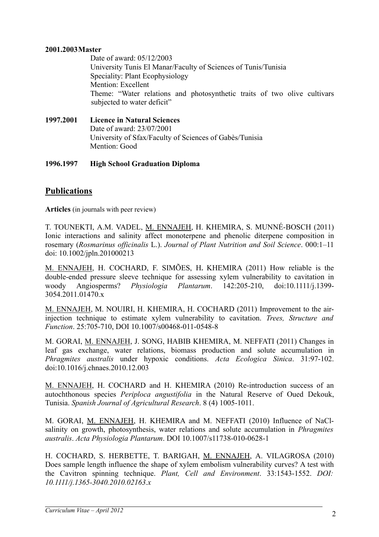#### **2001.2003Master**

Date of award: 05/12/2003 University Tunis El Manar/Faculty of Sciences of Tunis/Tunisia Speciality: Plant Ecophysiology Mention: Excellent Theme: "Water relations and photosynthetic traits of two olive cultivars subjected to water deficit"

**1997.2001 Licence in Natural Sciences** Date of award: 23/07/2001 University of Sfax/Faculty of Sciences of Gabès/Tunisia Mention: Good

### **1996.1997 High School Graduation Diploma**

# **Publications**

**Articles** (in journals with peer review)

T. TOUNEKTI, A.M. VADEL, M. ENNAJEH, H. KHEMIRA, S. MUNNÉ-BOSCH (2011) Ionic interactions and salinity affect monoterpene and phenolic diterpene composition in rosemary (*Rosmarinus officinalis* L.). *Journal of Plant Nutrition and Soil Science*. 000:1–11 doi: 10.1002/jpln.201000213

M. ENNAJEH, H. COCHARD, F. SIMÕES, H**.** KHEMIRA (2011) How reliable is the double-ended pressure sleeve technique for assessing xylem vulnerability to cavitation in woody Angiosperms? *Physiologia Plantarum*. 142:205-210, doi:10.1111/j.1399- 3054.2011.01470.x

M. ENNAJEH, M. NOUIRI, H. KHEMIRA, H. COCHARD (2011) Improvement to the airinjection technique to estimate xylem vulnerability to cavitation. *Trees, Structure and Function*. 25:705-710, DOI 10.1007/s00468-011-0548-8

M. GORAI, M. ENNAJEH, J. SONG, HABIB KHEMIRA, M. NEFFATI (2011) Changes in leaf gas exchange, water relations, biomass production and solute accumulation in *Phragmites australis* under hypoxic conditions. *Acta Ecologica Sinica*. 31:97-102. doi:10.1016/j.chnaes.2010.12.003

M. ENNAJEH, H. COCHARD and H. KHEMIRA (2010) Re-introduction success of an autochthonous species *Periploca angustifolia* in the Natural Reserve of Oued Dekouk, Tunisia. *Spanish Journal of Agricultural Research*. 8 (4) 1005-1011.

M. GORAI, M. ENNAJEH, H. KHEMIRA and M. NEFFATI (2010) Influence of NaClsalinity on growth, photosynthesis, water relations and solute accumulation in *Phragmites australis*. *Acta Physiologia Plantarum*. DOI 10.1007/s11738-010-0628-1

H. COCHARD, S. HERBETTE, T. BARIGAH, M. ENNAJEH, A. VILAGROSA (2010) Does sample length influence the shape of xylem embolism vulnerability curves? A test with the Cavitron spinning technique. *Plant, Cell and Environment*. 33:1543-1552. *DOI: 10.1111/j.1365-3040.2010.02163.x*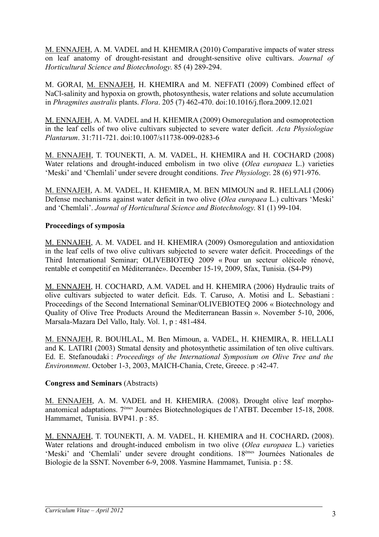M. ENNAJEH, A. M. VADEL and H. KHEMIRA (2010) Comparative impacts of water stress on leaf anatomy of drought-resistant and drought-sensitive olive cultivars. *Journal of Horticultural Science and Biotechnology*. 85 (4) 289-294.

M. GORAI, M. ENNAJEH, H. KHEMIRA and M. NEFFATI (2009) Combined effect of NaCl-salinity and hypoxia on growth, photosynthesis, water relations and solute accumulation in *Phragmites australis* plants. *Flora*. 205 (7) 462-470. doi:10.1016/j.flora.2009.12.021

M. ENNAJEH, A. M. VADEL and H. KHEMIRA (2009) Osmoregulation and osmoprotection in the leaf cells of two olive cultivars subjected to severe water deficit. *Acta Physiologiae Plantarum*. 31:711-721. doi:10.1007/s11738-009-0283-6

M. ENNAJEH, T. TOUNEKTI, A. M. VADEL, H. KHEMIRA and H. COCHARD (2008) Water relations and drought-induced embolism in two olive (*Olea europaea* L.) varieties 'Meski' and 'Chemlali' under severe drought conditions. *Tree Physiology*. 28 (6) 971-976.

M. ENNAJEH, A. M. VADEL, H. KHEMIRA, M. BEN MIMOUN and R. HELLALI (2006) Defense mechanisms against water deficit in two olive (*Olea europaea* L.) cultivars 'Meski' and 'Chemlali'. *Journal of Horticultural Science and Biotechnology*. 81 (1) 99-104.

## **Proceedings of symposia**

M. ENNAJEH, A. M. VADEL and H. KHEMIRA (2009) Osmoregulation and antioxidation in the leaf cells of two olive cultivars subjected to severe water deficit. Proceedings of the Third International Seminar; OLIVEBIOTEQ 2009 « Pour un secteur oléicole rénové, rentable et competitif en Méditerranée». December 15-19, 2009, Sfax, Tunisia. (S4-P9)

M. ENNAJEH, H. COCHARD, A.M. VADEL and H. KHEMIRA (2006) Hydraulic traits of olive cultivars subjected to water deficit. Eds. T. Caruso, A. Motisi and L. Sebastiani : Proceedings of the Second International Seminar/OLIVEBIOTEQ 2006 « Biotechnology and Quality of Olive Tree Products Around the Mediterranean Bassin ». November 5-10, 2006, Marsala-Mazara Del Vallo, Italy. Vol. 1, p : 481-484.

M. ENNAJEH, R. BOUHLAL, M. Ben Mimoun, a. VADEL, H. KHEMIRA, R. HELLALI and K. LATIRI (2003) Stmatal density and photosynthetic assimilation of ten olive cultivars. Ed. E. Stefanoudaki : *Proceedings of the International Symposium on Olive Tree and the Environnment*. October 1-3, 2003, MAICH-Chania, Crete, Greece. p :42-47.

### **Congress and Seminars** (Abstracts)

M. ENNAJEH, A. M. VADEL and H. KHEMIRA. (2008). Drought olive leaf morphoanatomical adaptations. 7èmes Journées Biotechnologiques de l'ATBT. December 15-18, 2008. Hammamet, Tunisia. BVP41. p : 85.

M. ENNAJEH, T. TOUNEKTI, A. M. VADEL, H. KHEMIRA and H. COCHARD**.** (2008). Water relations and drought-induced embolism in two olive (*Olea europaea* L.) varieties 'Meski' and 'Chemlali' under severe drought conditions. 18<sup>èmes</sup> Journées Nationales de Biologie de la SSNT. November 6-9, 2008. Yasmine Hammamet, Tunisia. p : 58.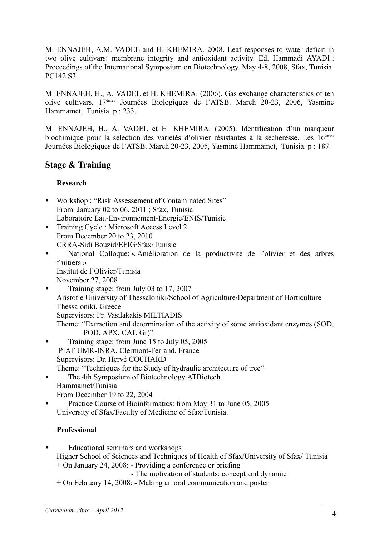M. ENNAJEH, A.M. VADEL and H. KHEMIRA. 2008. Leaf responses to water deficit in two olive cultivars: membrane integrity and antioxidant activity. Ed. Hammadi AYADI ; Proceedings of the International Symposium on Biotechnology. May 4-8, 2008, Sfax, Tunisia. PC142 S3.

M. ENNAJEH, H., A. VADEL et H. KHEMIRA. (2006). Gas exchange characteristics of ten olive cultivars. 17èmes Journées Biologiques de l'ATSB. March 20-23, 2006, Yasmine Hammamet, Tunisia. p : 233.

M. ENNAJEH, H., A. VADEL et H. KHEMIRA. (2005). Identification d'un marqueur biochimique pour la sélection des variétés d'olivier résistantes à la sécheresse. Les 16èmes Journées Biologiques de l'ATSB. March 20-23, 2005, Yasmine Hammamet, Tunisia. p : 187.

# **Stage & Training**

### **Research**

- Workshop : "Risk Assessement of Contaminated Sites" From January 02 to 06, 2011 ; Sfax, Tunisia Laboratoire Eau-Environnement-Energie/ENIS/Tunisie
- Training Cycle : Microsoft Access Level 2 From December 20 to 23, 2010 CRRA-Sidi Bouzid/EFIG/Sfax/Tunisie
- National Colloque: « Amélioration de la productivité de l'olivier et des arbres fruitiers » Institut de l'Olivier/Tunisia November 27, 2008

 Training stage: from July 03 to 17, 2007 Aristotle University of Thessaloniki/School of Agriculture/Department of Horticulture Thessaloniki, Greece Supervisors: Pr. Vasilakakis MILTIADIS Theme: "Extraction and determination of the activity of some antioxidant enzymes (SOD,

- POD, APX, CAT, Gr)" Training stage: from June 15 to July 05, 2005 PIAF UMR-INRA, Clermont-Ferrand, France Supervisors: Dr. Hervé COCHARD Theme: "Techniques for the Study of hydraulic architecture of tree"
- The 4th Symposium of Biotechnology ATBiotech. Hammamet/Tunisia From December 19 to 22, 2004
- Practice Course of Bioinformatics: from May 31 to June 05, 2005 University of Sfax/Faculty of Medicine of Sfax/Tunisia.

# **Professional**

- Educational seminars and workshops Higher School of Sciences and Techniques of Health of Sfax/University of Sfax/ Tunisia + On January 24, 2008: - Providing a conference or briefing - The motivation of students: concept and dynamic
	- + On February 14, 2008: Making an oral communication and poster